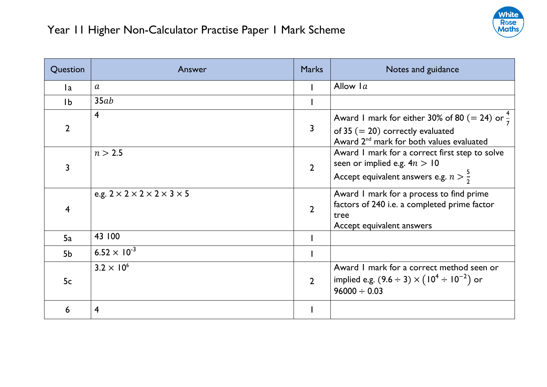

| Question       | Answer                                                | <b>Marks</b>   | Notes and guidance                                                                                                                                      |
|----------------|-------------------------------------------------------|----------------|---------------------------------------------------------------------------------------------------------------------------------------------------------|
| la.            | $\boldsymbol{a}$                                      |                | Allow $1a$                                                                                                                                              |
| 1 <sub>b</sub> | 35ab                                                  |                |                                                                                                                                                         |
| $\overline{2}$ | $\overline{4}$                                        | 3              | Award I mark for either 30% of 80 (= 24) or $\frac{4}{7}$<br>of 35 $(= 20)$ correctly evaluated<br>Award 2 <sup>nd</sup> mark for both values evaluated |
|                | n > 2.5                                               | $\overline{2}$ | Award I mark for a correct first step to solve<br>seen or implied e.g. $4n > 10$<br>Accept equivalent answers e.g. $n > \frac{5}{2}$                    |
| 4              | e.g. $2 \times 2 \times 2 \times 2 \times 3 \times 5$ | $\overline{2}$ | Award I mark for a process to find prime<br>factors of 240 i.e. a completed prime factor<br>tree<br>Accept equivalent answers                           |
| 5a             | 43 100                                                |                |                                                                                                                                                         |
| 5 <sub>b</sub> | 6.52 $\times$ 10 <sup>-3</sup>                        |                |                                                                                                                                                         |
| 5c             | $3.2 \times 10^{6}$                                   | $\overline{2}$ | Award I mark for a correct method seen or<br>implied e.g. $(9.6 \div 3) \times (10^4 \div 10^{-2})$ or<br>$96000 \div 0.03$                             |
| 6              | $\overline{4}$                                        |                |                                                                                                                                                         |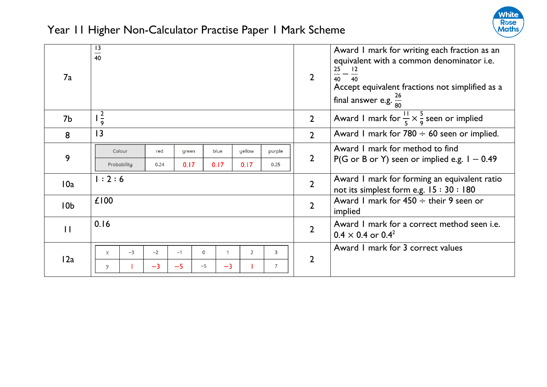

| 7a              | 13<br>$\overline{40}$                                                   | $\overline{2}$ | Award I mark for writing each fraction as an<br>equivalent with a common denominator i.e.<br>25<br>$\frac{25}{40} - \frac{12}{40}$<br>Accept equivalent fractions not simplified as a<br>final answer e.g. $\frac{26}{80}$ |
|-----------------|-------------------------------------------------------------------------|----------------|----------------------------------------------------------------------------------------------------------------------------------------------------------------------------------------------------------------------------|
| 7b              | $\frac{2}{9}$                                                           | $\overline{2}$ | Award 1 mark for $\frac{11}{5} \times \frac{5}{9}$ seen or implied                                                                                                                                                         |
| 8               | 13                                                                      | $\overline{2}$ | Award I mark for $780 \div 60$ seen or implied.                                                                                                                                                                            |
| 9               | Colour<br>red<br>blue<br>yellow<br>purple<br>green                      |                | Award I mark for method to find                                                                                                                                                                                            |
|                 | Probability<br>0.17<br>0.17<br>0.17<br>0.25<br>0.24                     | $\overline{2}$ | P(G or B or Y) seen or implied e.g. $I - 0.49$                                                                                                                                                                             |
| 10a             | 1:2:6                                                                   | $\overline{2}$ | Award I mark for forming an equivalent ratio<br>not its simplest form e.g. $15:30:180$                                                                                                                                     |
| 10 <sub>b</sub> | £100                                                                    | $\overline{2}$ | Award 1 mark for $450 \div$ their 9 seen or<br>implied                                                                                                                                                                     |
| $\mathbf{H}$    | 0.16                                                                    | $\overline{2}$ | Award I mark for a correct method seen i.e.<br>$0.4 \times 0.4$ or $0.4^2$                                                                                                                                                 |
| 12a             | $-3$<br>$-2$<br>$-1$<br>$\overline{2}$<br>3<br>0<br>1<br>$\mathfrak{X}$ | $\overline{2}$ | Award 1 mark for 3 correct values                                                                                                                                                                                          |
|                 | $-3$<br>$-5$<br>$-3$<br>$\overline{7}$<br>$-5$<br>$\mathcal{V}$         |                |                                                                                                                                                                                                                            |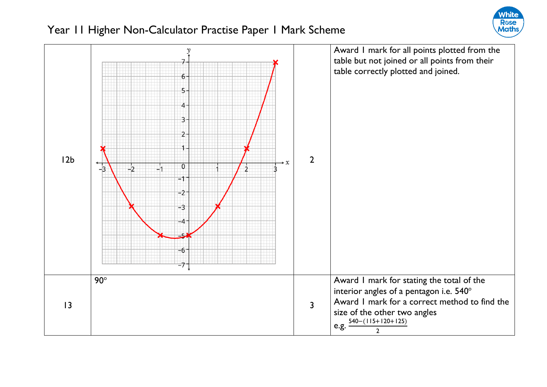

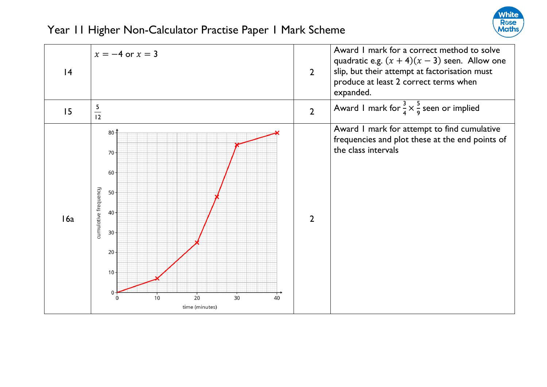

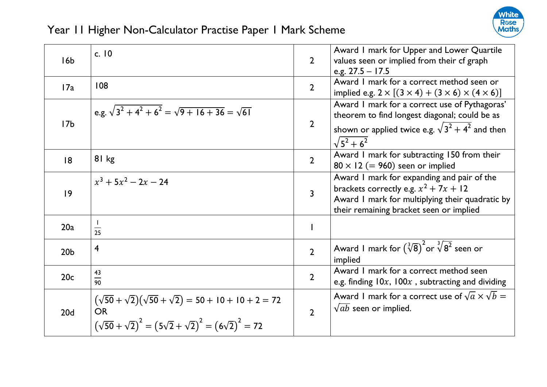

| 16 <sub>b</sub> | c. $10$                                                                                                                                                           | $\overline{2}$ | Award I mark for Upper and Lower Quartile<br>values seen or implied from their cf graph<br>e.g. $27.5 - 17.5$                                                                       |
|-----------------|-------------------------------------------------------------------------------------------------------------------------------------------------------------------|----------------|-------------------------------------------------------------------------------------------------------------------------------------------------------------------------------------|
| 17a             | 108                                                                                                                                                               | $\overline{2}$ | Award I mark for a correct method seen or<br>implied e.g. $2 \times [(3 \times 4) + (3 \times 6) \times (4 \times 6)]$                                                              |
| 17 <sub>b</sub> | e.g. $\sqrt{3^2+4^2+6^2}=\sqrt{9+16+36}=\sqrt{61}$                                                                                                                | $\overline{2}$ | Award I mark for a correct use of Pythagoras'<br>theorem to find longest diagonal; could be as<br>shown or applied twice e.g. $\sqrt{3^2 + 4^2}$ and then<br>$\sqrt{5^2+6^2}$       |
| 8               | 81 kg                                                                                                                                                             | $\overline{2}$ | Award I mark for subtracting 150 from their<br>$80 \times 12$ (= 960) seen or implied                                                                                               |
| 9               | $x^3 + 5x^2 - 2x - 24$                                                                                                                                            | $\overline{3}$ | Award I mark for expanding and pair of the<br>brackets correctly e.g. $x^2 + 7x + 12$<br>Award I mark for multiplying their quadratic by<br>their remaining bracket seen or implied |
| 20a             | $\perp$<br>$\overline{25}$                                                                                                                                        |                |                                                                                                                                                                                     |
| 20 <sub>b</sub> | $\overline{4}$                                                                                                                                                    | $\overline{2}$ | Award I mark for $(\sqrt[3]{8})^2$ or $\sqrt[3]{8^2}$ seen or<br>implied                                                                                                            |
| 20c             | 43<br>$\frac{1}{90}$                                                                                                                                              | $\overline{2}$ | Award I mark for a correct method seen<br>e.g. finding $10x$ , $100x$ , subtracting and dividing                                                                                    |
| 20 <sub>d</sub> | $(\sqrt{50} + \sqrt{2})(\sqrt{50} + \sqrt{2}) = 50 + 10 + 10 + 2 = 72$<br><b>OR</b><br>$(\sqrt{50} + \sqrt{2})^2 = (5\sqrt{2} + \sqrt{2})^2 = (6\sqrt{2})^2 = 72$ | $\overline{2}$ | Award 1 mark for a correct use of $\sqrt{a} \times \sqrt{b} =$<br>$\sqrt{ab}$ seen or implied.                                                                                      |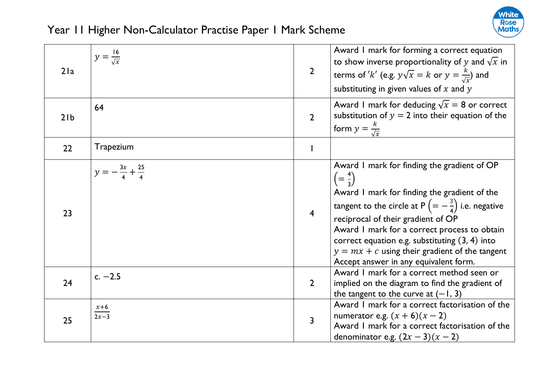

| 21a             | $y=\frac{16}{\sqrt{x}}$            | $\overline{2}$ | Award I mark for forming a correct equation<br>to show inverse proportionality of y and $\sqrt{x}$ in<br>terms of 'k' (e.g. $y\sqrt{x} = k$ or $y = \frac{k}{\sqrt{x}}$ ) and<br>substituting in given values of $x$ and $y$                                                                                                                                                                                                               |
|-----------------|------------------------------------|----------------|--------------------------------------------------------------------------------------------------------------------------------------------------------------------------------------------------------------------------------------------------------------------------------------------------------------------------------------------------------------------------------------------------------------------------------------------|
| 21 <sub>b</sub> | 64                                 | $\overline{2}$ | Award I mark for deducing $\sqrt{x} = 8$ or correct<br>substitution of $y = 2$ into their equation of the<br>form $y = \frac{k}{\sqrt{x}}$                                                                                                                                                                                                                                                                                                 |
| 22              | Trapezium                          |                |                                                                                                                                                                                                                                                                                                                                                                                                                                            |
| 23              | $y = -\frac{3x}{4} + \frac{25}{4}$ | $\overline{4}$ | Award I mark for finding the gradient of OP<br>$\left(=\frac{4}{3}\right)$<br>Award I mark for finding the gradient of the<br>tangent to the circle at P $\left(=-\frac{3}{4}\right)$ i.e. negative<br>reciprocal of their gradient of OP<br>Award I mark for a correct process to obtain<br>correct equation e.g. substituting $(3, 4)$ into<br>$y = mx + c$ using their gradient of the tangent<br>Accept answer in any equivalent form. |
| 24              | $c. -2.5$                          | $\overline{2}$ | Award I mark for a correct method seen or<br>implied on the diagram to find the gradient of<br>the tangent to the curve at $(-1, 3)$                                                                                                                                                                                                                                                                                                       |
| 25              | $\frac{x+6}{2x-3}$                 | 3              | Award I mark for a correct factorisation of the<br>numerator e.g. $(x + 6)(x - 2)$<br>Award I mark for a correct factorisation of the<br>denominator e.g. $(2x-3)(x-2)$                                                                                                                                                                                                                                                                    |